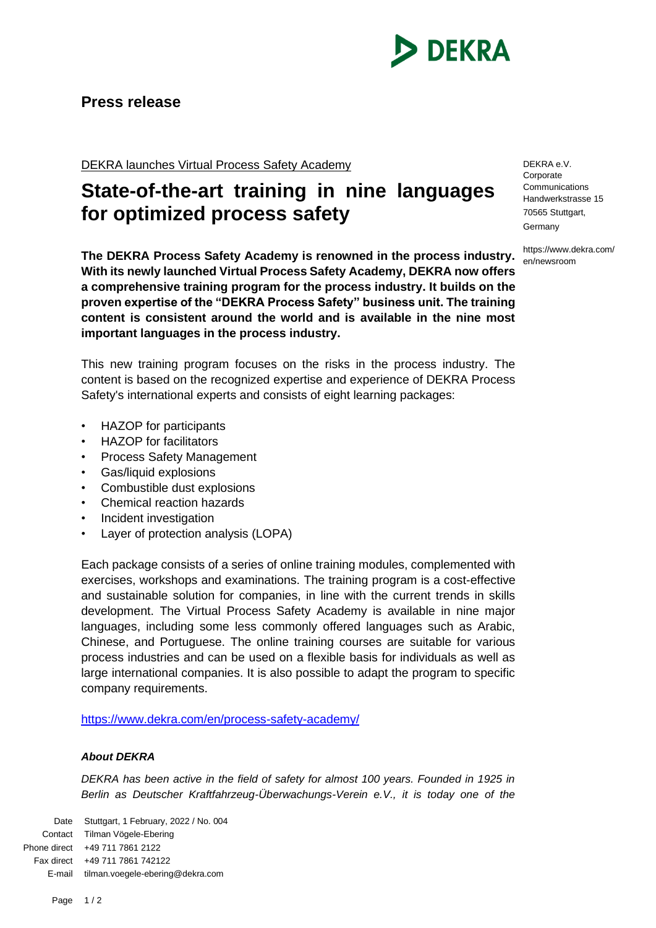

## **Press release**

DEKRA launches Virtual Process Safety Academy

## **State-of-the-art training in nine languages for optimized process safety**

**The DEKRA Process Safety Academy is renowned in the process industry. With its newly launched Virtual Process Safety Academy, DEKRA now offers a comprehensive training program for the process industry. It builds on the proven expertise of the "DEKRA Process Safety" business unit. The training content is consistent around the world and is available in the nine most important languages in the process industry.** 

This new training program focuses on the risks in the process industry. The content is based on the recognized expertise and experience of DEKRA Process Safety's international experts and consists of eight learning packages:

- HAZOP for participants
- HAZOP for facilitators
- Process Safety Management
- Gas/liquid explosions
- Combustible dust explosions
- Chemical reaction hazards
- Incident investigation
- Layer of protection analysis (LOPA)

Each package consists of a series of online training modules, complemented with exercises, workshops and examinations. The training program is a cost-effective and sustainable solution for companies, in line with the current trends in skills development. The Virtual Process Safety Academy is available in nine major languages, including some less commonly offered languages such as Arabic, Chinese, and Portuguese. The online training courses are suitable for various process industries and can be used on a flexible basis for individuals as well as large international companies. It is also possible to adapt the program to specific company requirements.

<https://www.dekra.com/en/process-safety-academy/>

## *About DEKRA*

*DEKRA has been active in the field of safety for almost 100 years. Founded in 1925 in Berlin as Deutscher Kraftfahrzeug-Überwachungs-Verein e.V., it is today one of the* 

Date Stuttgart, 1 February, 2022 / No. 004 Contact Tilman Vögele-Ebering Phone direct +49 711 7861 2122 Fax direct +49 711 7861 742122 E-mail tilman.voegele-ebering@dekra.com

DEKRA e.V. Corporate Communications Handwerkstrasse 15 70565 Stuttgart, Germany

https://www.dekra.com/ en/newsroom